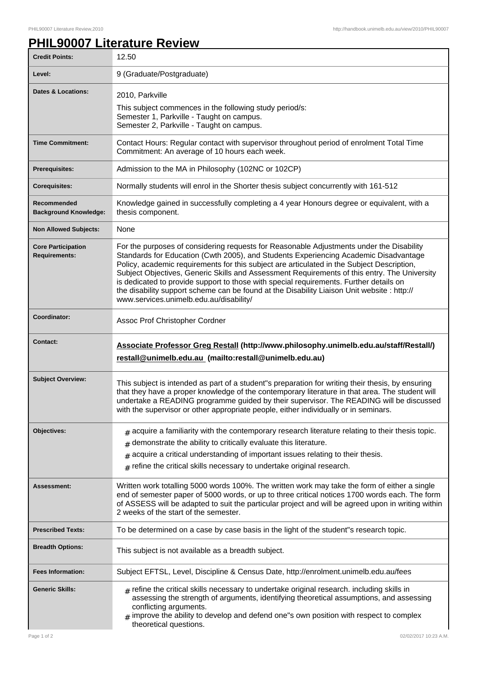## **PHIL90007 Literature Review**

| <b>Credit Points:</b>                             | 12.50                                                                                                                                                                                                                                                                                                                                                                                                                                                                                                                                                                                                              |
|---------------------------------------------------|--------------------------------------------------------------------------------------------------------------------------------------------------------------------------------------------------------------------------------------------------------------------------------------------------------------------------------------------------------------------------------------------------------------------------------------------------------------------------------------------------------------------------------------------------------------------------------------------------------------------|
| Level:                                            | 9 (Graduate/Postgraduate)                                                                                                                                                                                                                                                                                                                                                                                                                                                                                                                                                                                          |
| <b>Dates &amp; Locations:</b>                     | 2010, Parkville<br>This subject commences in the following study period/s:<br>Semester 1, Parkville - Taught on campus.<br>Semester 2, Parkville - Taught on campus.                                                                                                                                                                                                                                                                                                                                                                                                                                               |
| <b>Time Commitment:</b>                           | Contact Hours: Regular contact with supervisor throughout period of enrolment Total Time<br>Commitment: An average of 10 hours each week.                                                                                                                                                                                                                                                                                                                                                                                                                                                                          |
| Prerequisites:                                    | Admission to the MA in Philosophy (102NC or 102CP)                                                                                                                                                                                                                                                                                                                                                                                                                                                                                                                                                                 |
| <b>Corequisites:</b>                              | Normally students will enrol in the Shorter thesis subject concurrently with 161-512                                                                                                                                                                                                                                                                                                                                                                                                                                                                                                                               |
| Recommended<br><b>Background Knowledge:</b>       | Knowledge gained in successfully completing a 4 year Honours degree or equivalent, with a<br>thesis component.                                                                                                                                                                                                                                                                                                                                                                                                                                                                                                     |
| <b>Non Allowed Subjects:</b>                      | None                                                                                                                                                                                                                                                                                                                                                                                                                                                                                                                                                                                                               |
| <b>Core Participation</b><br><b>Requirements:</b> | For the purposes of considering requests for Reasonable Adjustments under the Disability<br>Standards for Education (Cwth 2005), and Students Experiencing Academic Disadvantage<br>Policy, academic requirements for this subject are articulated in the Subject Description,<br>Subject Objectives, Generic Skills and Assessment Requirements of this entry. The University<br>is dedicated to provide support to those with special requirements. Further details on<br>the disability support scheme can be found at the Disability Liaison Unit website : http://<br>www.services.unimelb.edu.au/disability/ |
| Coordinator:                                      | Assoc Prof Christopher Cordner                                                                                                                                                                                                                                                                                                                                                                                                                                                                                                                                                                                     |
| <b>Contact:</b>                                   | Associate Professor Greg Restall (http://www.philosophy.unimelb.edu.au/staff/Restall/)<br>restall@unimelb.edu.au (mailto:restall@unimelb.edu.au)                                                                                                                                                                                                                                                                                                                                                                                                                                                                   |
| <b>Subject Overview:</b>                          | This subject is intended as part of a student"s preparation for writing their thesis, by ensuring<br>that they have a proper knowledge of the contemporary literature in that area. The student will<br>undertake a READING programme guided by their supervisor. The READING will be discussed<br>with the supervisor or other appropriate people, either individually or in seminars.                                                                                                                                                                                                                            |
| Objectives:                                       | $_{\text{\#}}$ acquire a familiarity with the contemporary research literature relating to their thesis topic.<br>demonstrate the ability to critically evaluate this literature.<br>#<br>acquire a critical understanding of important issues relating to their thesis.<br>#<br>$_{\text{\#}}$ refine the critical skills necessary to undertake original research.                                                                                                                                                                                                                                               |
| Assessment:                                       | Written work totalling 5000 words 100%. The written work may take the form of either a single<br>end of semester paper of 5000 words, or up to three critical notices 1700 words each. The form<br>of ASSESS will be adapted to suit the particular project and will be agreed upon in writing within<br>2 weeks of the start of the semester.                                                                                                                                                                                                                                                                     |
| <b>Prescribed Texts:</b>                          | To be determined on a case by case basis in the light of the student"s research topic.                                                                                                                                                                                                                                                                                                                                                                                                                                                                                                                             |
| <b>Breadth Options:</b>                           | This subject is not available as a breadth subject.                                                                                                                                                                                                                                                                                                                                                                                                                                                                                                                                                                |
| <b>Fees Information:</b>                          | Subject EFTSL, Level, Discipline & Census Date, http://enrolment.unimelb.edu.au/fees                                                                                                                                                                                                                                                                                                                                                                                                                                                                                                                               |
| <b>Generic Skills:</b>                            | $_{\rm H}$ refine the critical skills necessary to undertake original research. including skills in<br>assessing the strength of arguments, identifying theoretical assumptions, and assessing<br>conflicting arguments.<br>improve the ability to develop and defend one"s own position with respect to complex<br>#<br>theoretical questions.                                                                                                                                                                                                                                                                    |